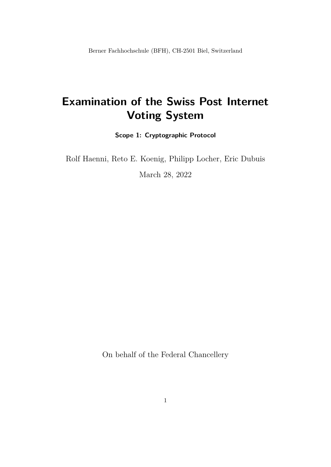Berner Fachhochschule (BFH), CH-2501 Biel, Switzerland

# **Examination of the Swiss Post Internet Voting System**

**Scope 1: Cryptographic Protocol**

Rolf Haenni, Reto E. Koenig, Philipp Locher, Eric Dubuis

March 28, 2022

On behalf of the Federal Chancellery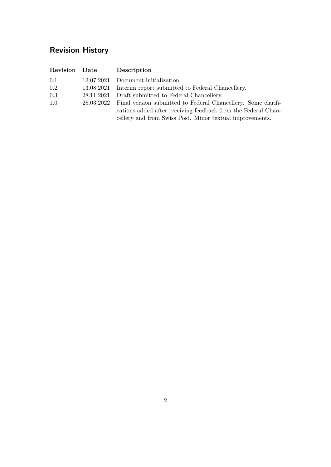## **Revision History**

| Revision Date | Description                                                              |
|---------------|--------------------------------------------------------------------------|
| 0.1           | 12.07.2021 Document initialization.                                      |
| 0.2           | 13.08.2021 Interim report submitted to Federal Chancellery.              |
| 0.3           | 28.11.2021 Draft submitted to Federal Chancellery.                       |
| 1.0           | 28.03.2022 Final version submitted to Federal Chancellery. Some clarifi- |
|               | cations added after receiving feedback from the Federal Chan-            |
|               | cellery and from Swiss Post. Minor textual improvements.                 |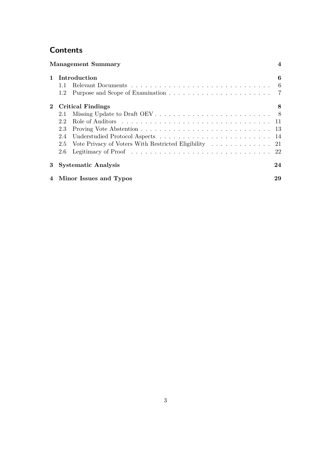## **Contents**

|              | <b>Management Summary</b>                                  | $\boldsymbol{\vartriangle}$ |
|--------------|------------------------------------------------------------|-----------------------------|
|              | Introduction<br>1.2                                        | 6<br>6<br>7                 |
| $\mathbf{2}$ | Critical Findings<br>2.1<br>22<br>2.3<br>2.4<br>2.5<br>2.6 | 8                           |
|              | <b>Systematic Analysis</b>                                 | 24                          |
|              | 4 Minor Issues and Typos                                   | 29                          |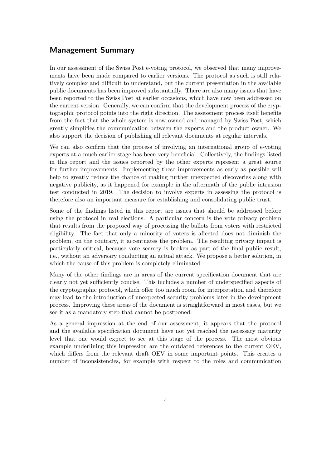### <span id="page-3-0"></span>**Management Summary**

In our assessment of the Swiss Post e-voting protocol, we observed that many improvements have been made compared to earlier versions. The protocol as such is still relatively complex and difficult to understand, but the current presentation in the available public documents has been improved substantially. There are also many issues that have been reported to the Swiss Post at earlier occasions, which have now been addressed on the current version. Generally, we can confirm that the development process of the cryptographic protocol points into the right direction. The assessment process itself benefits from the fact that the whole system is now owned and managed by Swiss Post, which greatly simplifies the communication between the experts and the product owner. We also support the decision of publishing all relevant documents at regular intervals.

We can also confirm that the process of involving an international group of e-voting experts at a much earlier stage has been very beneficial. Collectively, the findings listed in this report and the issues reported by the other experts represent a great source for further improvements. Implementing these improvements as early as possible will help to greatly reduce the chance of making further unexpected discoveries along with negative publicity, as it happened for example in the aftermath of the public intrusion test conducted in 2019. The decision to involve experts in assessing the protocol is therefore also an important measure for establishing and consolidating public trust.

Some of the findings listed in this report are issues that should be addressed before using the protocol in real elections. A particular concern is the vote privacy problem that results from the proposed way of processing the ballots from voters with restricted eligibility. The fact that only a minority of voters is affected does not diminish the problem, on the contrary, it accentuates the problem. The resulting privacy impact is particularly critical, because vote secrecy is broken as part of the final public result, i.e., without an adversary conducting an actual attack. We propose a better solution, in which the cause of this problem is completely eliminated.

Many of the other findings are in areas of the current specification document that are clearly not yet sufficiently concise. This includes a number of underspecified aspects of the cryptographic protocol, which offer too much room for interpretation and therefore may lead to the introduction of unexpected security problems later in the development process. Improving these areas of the document is straightforward in most cases, but we see it as a mandatory step that cannot be postponed.

As a general impression at the end of our assessment, it appears that the protocol and the available specification document have not yet reached the necessary maturity level that one would expect to see at this stage of the process. The most obvious example underlining this impression are the outdated references to the current OEV, which differs from the relevant draft OEV in some important points. This creates a number of inconsistencies, for example with respect to the roles and communication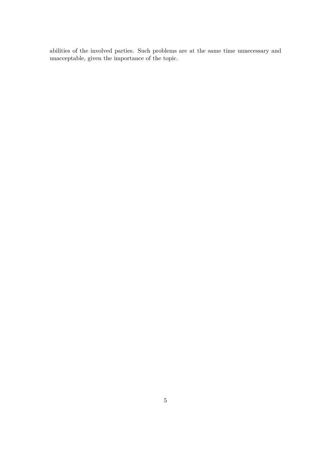abilities of the involved parties. Such problems are at the same time unnecessary and unacceptable, given the importance of the topic.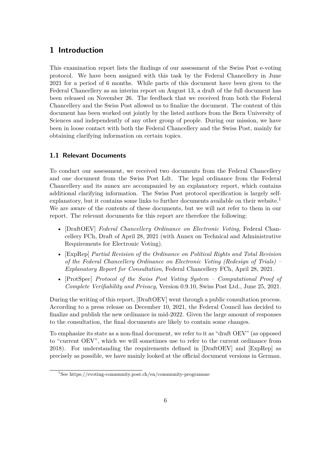## <span id="page-5-0"></span>**1 Introduction**

This examination report lists the findings of our assessment of the Swiss Post e-voting protocol. We have been assigned with this task by the Federal Chancellery in June 2021 for a period of 6 months. While parts of this document have been given to the Federal Chancellery as an interim report on August 13, a draft of the full document has been released on November 26. The feedback that we received from both the Federal Chancellery and the Swiss Post allowed us to finalize the document. The content of this document has been worked out jointly by the listed authors from the Bern University of Sciences and independently of any other group of people. During our mission, we have been in loose contact with both the Federal Chancellery and the Swiss Post, mainly for obtaining clarifying information on certain topics.

#### <span id="page-5-1"></span>**1.1 Relevant Documents**

To conduct our assessment, we received two documents from the Federal Chancellery and one document from the Swiss Post Ldt. The legal ordinance from the Federal Chancellery and its annex are accompanied by an explanatory report, which contains additional clarifying information. The Swiss Post protocol specification is largely selfexplanatory, but it contains some links to further documents available on their website.<sup>1</sup> We are aware of the contents of these documents, but we will not refer to them in our report. The relevant documents for this report are therefore the following:

- [DraftOEV] *Federal Chancellery Ordinance on Electronic Voting*, Federal Chancellery FCh, Draft of April 28, 2021 (with Annex on Technical and Administrative Requirements for Electronic Voting).
- [ExpRep] *Partial Revision of the Ordinance on Political Rights and Total Revision of the Federal Chancellery Ordinance on Electronic Voting (Redesign of Trials) – Explanatory Report for Consultation*, Federal Chancellery FCh, April 28, 2021.
- [ProtSpec] *Protocol of the Swiss Post Voting System Computational Proof of Complete Verifiability and Privacy*, Version 0.9.10, Swiss Post Ltd., June 25, 2021.

During the writing of this report, [DraftOEV] went through a public consultation process. According to a press release on December 10, 2021, the Federal Council has decided to finalize and publish the new ordinance in mid-2022. Given the large amount of responses to the consultation, the final documents are likely to contain some changes.

To emphasize its state as a non-final document, we refer to it as "draft OEV" (as opposed to "current OEV", which we will sometimes use to refer to the current ordinance from 2018). For understanding the requirements defined in [DraftOEV] and [ExpRep] as precisely as possible, we have mainly looked at the official document versions in German.

<sup>&</sup>lt;sup>1</sup>See <https://evoting-community.post.ch/en/community-programme>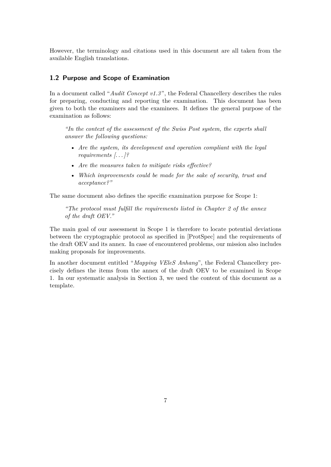However, the terminology and citations used in this document are all taken from the available English translations.

#### <span id="page-6-0"></span>**1.2 Purpose and Scope of Examination**

In a document called "*Audit Concept v1.3* ", the Federal Chancellery describes the rules for preparing, conducting and reporting the examination. This document has been given to both the examiners and the examinees. It defines the general purpose of the examination as follows:

*"In the context of the assessment of the Swiss Post system, the experts shall answer the following questions:*

- *Are the system, its development and operation compliant with the legal requirements [. . . ]?*
- *Are the measures taken to mitigate risks effective?*
- *Which improvements could be made for the sake of security, trust and acceptance?"*

The same document also defines the specific examination purpose for Scope 1:

*"The protocol must fulfill the requirements listed in Chapter 2 of the annex of the draft OEV."*

The main goal of our assessment in Scope 1 is therefore to locate potential deviations between the cryptographic protocol as specified in [ProtSpec] and the requirements of the draft OEV and its annex. In case of encountered problems, our mission also includes making proposals for improvements.

In another document entitled "*Mapping VEleS Anhang*", the Federal Chancellery precisely defines the items from the annex of the draft OEV to be examined in Scope 1. In our systematic analysis in Section [3,](#page-23-0) we used the content of this document as a template.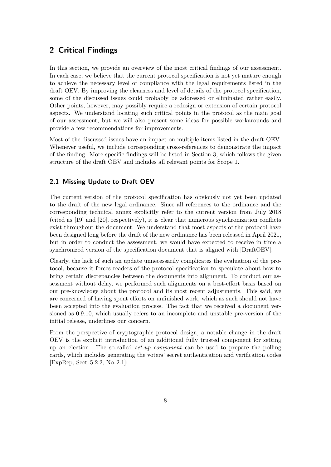### <span id="page-7-0"></span>**2 Critical Findings**

In this section, we provide an overview of the most critical findings of our assessment. In each case, we believe that the current protocol specification is not yet mature enough to achieve the necessary level of compliance with the legal requirements listed in the draft OEV. By improving the clearness and level of details of the protocol specification, some of the discussed issues could probably be addressed or eliminated rather easily. Other points, however, may possibly require a redesign or extension of certain protocol aspects. We understand locating such critical points in the protocol as the main goal of our assessment, but we will also present some ideas for possible workarounds and provide a few recommendations for improvements.

Most of the discussed issues have an impact on multiple items listed in the draft OEV. Whenever useful, we include corresponding cross-references to demonstrate the impact of the finding. More specific findings will be listed in Section [3,](#page-23-0) which follows the given structure of the draft OEV and includes all relevant points for Scope 1.

#### <span id="page-7-1"></span>**2.1 Missing Update to Draft OEV**

The current version of the protocol specification has obviously not yet been updated to the draft of the new legal ordinance. Since all references to the ordinance and the corresponding technical annex explicitly refer to the current version from July 2018 (cited as [19] and [20], respectively), it is clear that numerous synchronization conflicts exist throughout the document. We understand that most aspects of the protocol have been designed long before the draft of the new ordinance has been released in April 2021, but in order to conduct the assessment, we would have expected to receive in time a synchronized version of the specification document that is aligned with [DraftOEV].

Clearly, the lack of such an update unnecessarily complicates the evaluation of the protocol, because it forces readers of the protocol specification to speculate about how to bring certain discrepancies between the documents into alignment. To conduct our assessment without delay, we performed such alignments on a best-effort basis based on our pre-knowledge about the protocol and its most recent adjustments. This said, we are concerned of having spent efforts on unfinished work, which as such should not have been accepted into the evaluation process. The fact that we received a document versioned as 0.9.10, which usually refers to an incomplete and unstable pre-version of the initial release, underlines our concern.

From the perspective of cryptographic protocol design, a notable change in the draft OEV is the explicit introduction of an additional fully trusted component for setting up an election. The so-called *set-up component* can be used to prepare the polling cards, which includes generating the voters' secret authentication and verification codes [ExpRep, Sect. 5.2.2, No. 2.1]: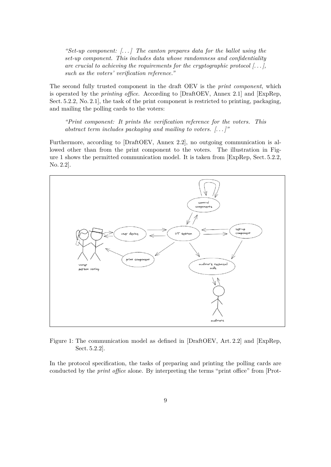*"Set-up component: [. . . ] The canton prepares data for the ballot using the set-up component. This includes data whose randomness and confidentiality are crucial to achieving the requirements for the cryptographic protocol [. . . ], such as the voters' verification reference."*

The second fully trusted component in the draft OEV is the *print component*, which is operated by the *printing office*. According to [DraftOEV, Annex 2.1] and [ExpRep, Sect. 5.2.2, No. 2.1], the task of the print component is restricted to printing, packaging, and mailing the polling cards to the voters:

*"Print component: It prints the verification reference for the voters. This abstract term includes packaging and mailing to voters. [. . . ]"*

Furthermore, according to [DraftOEV, Annex 2.2], no outgoing communication is allowed other than from the print component to the voters. The illustration in Figure [1](#page-8-0) shows the permitted communication model. It is taken from [ExpRep, Sect. 5.2.2, No. 2.2].

<span id="page-8-0"></span>

Figure 1: The communication model as defined in [DraftOEV, Art. 2.2] and [ExpRep, Sect. 5.2.2].

In the protocol specification, the tasks of preparing and printing the polling cards are conducted by the *print office* alone. By interpreting the terms "print office" from [Prot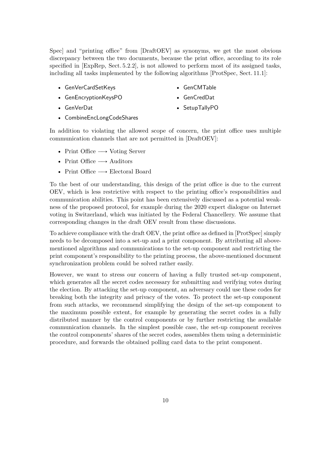Spec] and "printing office" from [DraftOEV] as synonyms, we get the most obvious discrepancy between the two documents, because the print office, according to its role specified in [ExpRep, Sect. 5.2.2], is not allowed to perform most of its assigned tasks, including all tasks implemented by the following algorithms [ProtSpec, Sect. 11.1]:

- GenVerCardSetKeys
- GenEncryptionKeysPO
- GenVerDat
- GenCMTable
- GenCredDat
- SetupTallyPO
- CombineEncLongCodeShares

In addition to violating the allowed scope of concern, the print office uses multiple communication channels that are not permitted in [DraftOEV]:

- Print Office  $\longrightarrow$  Voting Server
- Print Office  $\longrightarrow$  Auditors
- Print Office  $\longrightarrow$  Electoral Board

To the best of our understanding, this design of the print office is due to the current OEV, which is less restrictive with respect to the printing office's responsibilities and communication abilities. This point has been extensively discussed as a potential weakness of the proposed protocol, for example during the 2020 expert dialogue on Internet voting in Switzerland, which was initiated by the Federal Chancellery. We assume that corresponding changes in the draft OEV result from these discussions.

To achieve compliance with the draft OEV, the print office as defined in [ProtSpec] simply needs to be decomposed into a set-up and a print component. By attributing all abovementioned algorithms and communications to the set-up component and restricting the print component's responsibility to the printing process, the above-mentioned document synchronization problem could be solved rather easily.

However, we want to stress our concern of having a fully trusted set-up component, which generates all the secret codes necessary for submitting and verifying votes during the election. By attacking the set-up component, an adversary could use these codes for breaking both the integrity and privacy of the votes. To protect the set-up component from such attacks, we recommend simplifying the design of the set-up component to the maximum possible extent, for example by generating the secret codes in a fully distributed manner by the control components or by further restricting the available communication channels. In the simplest possible case, the set-up component receives the control components' shares of the secret codes, assembles them using a deterministic procedure, and forwards the obtained polling card data to the print component.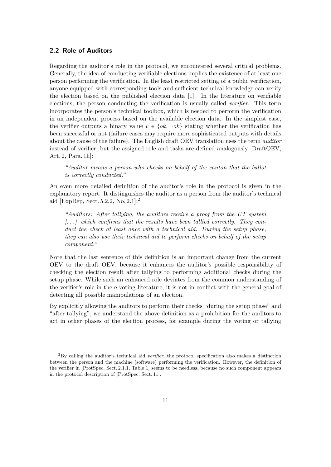#### <span id="page-10-0"></span>**2.2 Role of Auditors**

Regarding the auditor's role in the protocol, we encountered several critical problems. Generally, the idea of conducting verifiable elections implies the existence of at least one person performing the verification. In the least restricted setting of a public verification, anyone equipped with corresponding tools and sufficient technical knowledge can verify the election based on the published election data [\[1\]](#page-32-0). In the literature on verifiable elections, the person conducting the verification is usually called *verifier*. This term incorporates the person's technical toolbox, which is needed to perform the verification in an independent process based on the available election data. In the simplest case, the verifier outputs a binary value  $v \in \{ok, \neg ok\}$  stating whether the verification has been successful or not (failure cases may require more sophisticated outputs with details about the cause of the failure). The English draft OEV translation uses the term *auditor* instead of verifier, but the assigned role and tasks are defined analogously [DraftOEV, Art. 2, Para. 1h]:

*"Auditor means a person who checks on behalf of the canton that the ballot is correctly conducted."*

An even more detailed definition of the auditor's role in the protocol is given in the explanatory report. It distinguishes the auditor as a person from the auditor's technical aid [ExpRep, Sect. 5.2.2, No. 2.1]:<sup>2</sup>

*"Auditors: After tallying, the auditors receive a proof from the UT system [. . . ] which confirms that the results have been tallied correctly. They conduct the check at least once with a technical aid. During the setup phase, they can also use their technical aid to perform checks on behalf of the setup component."*

Note that the last sentence of this definition is an important change from the current OEV to the draft OEV, because it enhances the auditor's possible responsibility of checking the election result after tallying to performing additional checks during the setup phase. While such an enhanced role deviates from the common understanding of the verifier's role in the e-voting literature, it is not in conflict with the general goal of detecting all possible manipulations of an election.

By explicitly allowing the auditors to perform their checks "during the setup phase" and "after tallying", we understand the above definition as a prohibition for the auditors to act in other phases of the election process, for example during the voting or tallying

<sup>2</sup>By calling the auditor's technical aid *verifier*, the protocol specification also makes a distinction between the person and the machine (software) performing the verification. However, the definition of the verifier in [ProtSpec, Sect. 2.1.1, Table 1] seems to be needless, because no such component appears in the protocol description of [ProtSpec, Sect. 11].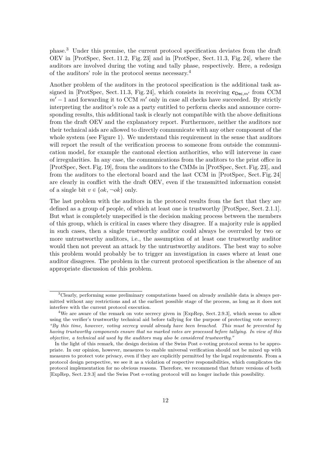phase.<sup>3</sup> Under this premise, the current protocol specification deviates from the draft OEV in [ProtSpec, Sect. 11.2, Fig. 23] and in [ProtSpec, Sect. 11.3, Fig. 24], where the auditors are involved during the voting and tally phase, respectively. Here, a redesign of the auditors' role in the protocol seems necessary.<sup>4</sup>

Another problem of the auditors in the protocol specification is the additional task assigned in [ProtSpec, Sect. 11.3, Fig. 24], which consists in receiving  $\mathbf{c}_{\text{Dec},m'}$  from CCM  $m' - 1$  and forwarding it to CCM  $m'$  only in case all checks have succeeded. By strictly interpreting the auditor's role as a party entitled to perform checks and announce corresponding results, this additional task is clearly not compatible with the above definitions from the draft OEV and the explanatory report. Furthermore, neither the auditors nor their technical aids are allowed to directly communicate with any other component of the whole system (see Figure [1\)](#page-8-0). We understand this requirement in the sense that auditors will report the result of the verification process to someone from outside the communication model, for example the cantonal election authorities, who will intervene in case of irregularities. In any case, the communications from the auditors to the print office in [ProtSpec, Sect. Fig. 19], from the auditors to the CMMs in [ProtSpec, Sect. Fig. 23], and from the auditors to the electoral board and the last CCM in [ProtSpec, Sect. Fig. 24] are clearly in conflict with the draft OEV, even if the transmitted information consist of a single bit  $v \in \{ok, \neg ok\}$  only.

The last problem with the auditors in the protocol results from the fact that they are defined as a group of people, of which at least one is trustworthy [ProtSpec, Sect. 2.1.1]. But what is completely unspecified is the decision making process between the members of this group, which is critical in cases where they disagree. If a majority rule is applied in such cases, then a single trustworthy auditor could always be overruled by two or more untrustworthy auditors, i.e., the assumption of at least one trustworthy auditor would then not prevent an attack by the untrustworthy auditors. The best way to solve this problem would probably be to trigger an investigation in cases where at least one auditor disagrees. The problem in the current protocol specification is the absence of an appropriate discussion of this problem.

<sup>3</sup>Clearly, performing some preliminary computations based on already available data is always permitted without any restrictions and at the earliest possible stage of the process, as long as it does not interfere with the current protocol execution.

<sup>&</sup>lt;sup>4</sup>We are aware of the remark on vote secrecy given in [ExpRep, Sect. 2.9.3], which seems to allow using the verifier's trustworthy technical aid before tallying for the purpose of protecting vote secrecy: *"By this time, however, voting secrecy would already have been breached. This must be prevented by having trustworthy components ensure that no marked votes are processed before tallying. In view of this objective, a technical aid used by the auditors may also be considered trustworthy."*

In the light of this remark, the design decision of the Swiss Post e-voting protocol seems to be appropriate. In our opinion, however, measures to enable universal verification should not be mixed up with measures to protect vote privacy, even if they are explicitly permitted by the legal requirements. From a protocol design perspective, we see it as a violation of respective responsibilities, which complicates the protocol implementation for no obvious reasons. Therefore, we recommend that future versions of both [ExpRep, Sect. 2.9.3] and the Swiss Post e-voting protocol will no longer include this possibility.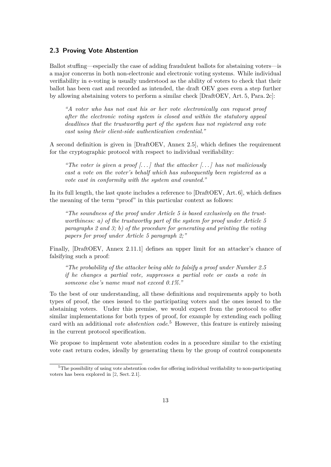#### <span id="page-12-0"></span>**2.3 Proving Vote Abstention**

Ballot stuffing—especially the case of adding fraudulent ballots for abstaining voters—is a major concerns in both non-electronic and electronic voting systems. While individual verifiability in e-voting is usually understood as the ability of voters to check that their ballot has been cast and recorded as intended, the draft OEV goes even a step further by allowing abstaining voters to perform a similar check [DraftOEV, Art. 5, Para. 2c]:

*"A voter who has not cast his or her vote electronically can request proof after the electronic voting system is closed and within the statutory appeal deadlines that the trustworthy part of the system has not registered any vote cast using their client-side authentication credential."*

A second definition is given in [DraftOEV, Annex 2.5], which defines the requirement for the cryptographic protocol with respect to individual verifiability:

*"The voter is given a proof [. . . ] that the attacker [. . . ] has not maliciously cast a vote on the voter's behalf which has subsequently been registered as a vote cast in conformity with the system and counted."*

In its full length, the last quote includes a reference to [DraftOEV, Art. 6], which defines the meaning of the term "proof" in this particular context as follows:

*"The soundness of the proof under Article 5 is based exclusively on the trustworthiness: a) of the trustworthy part of the system for proof under Article 5 paragraphs 2 and 3; b) of the procedure for generating and printing the voting papers for proof under Article 5 paragraph 2;"*

Finally, [DraftOEV, Annex 2.11.1] defines an upper limit for an attacker's chance of falsifying such a proof:

*"The probability of the attacker being able to falsify a proof under Number 2.5 if he changes a partial vote, suppresses a partial vote or casts a vote in someone else's name must not exceed 0.1%."*

To the best of our understanding, all these definitions and requirements apply to both types of proof, the ones issued to the participating voters and the ones issued to the abstaining voters. Under this premise, we would expect from the protocol to offer similar implementations for both types of proof, for example by extending each polling card with an additional *vote abstention code*. <sup>5</sup> However, this feature is entirely missing in the current protocol specification.

We propose to implement vote abstention codes in a procedure similar to the existing vote cast return codes, ideally by generating them by the group of control components

 $5$ The possibility of using vote abstention codes for offering individual verifiability to non-participating voters has been explored in [\[2,](#page-32-1) Sect. 2.1].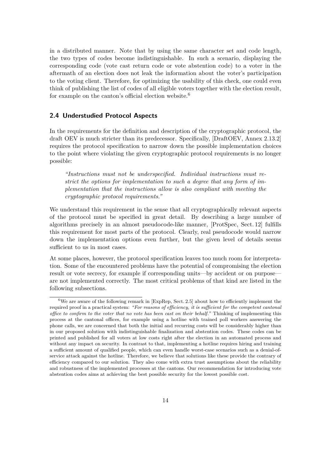in a distributed manner. Note that by using the same character set and code length, the two types of codes become indistinguishable. In such a scenario, displaying the corresponding code (vote cast return code or vote abstention code) to a voter in the aftermath of an election does not leak the information about the voter's participation to the voting client. Therefore, for optimizing the usability of this check, one could even think of publishing the list of codes of all eligible voters together with the election result, for example on the canton's official election website. $6$ 

#### <span id="page-13-0"></span>**2.4 Understudied Protocol Aspects**

In the requirements for the definition and description of the cryptographic protocol, the draft OEV is much stricter than its predecessor. Specifically, [DraftOEV, Annex 2.13.2] requires the protocol specification to narrow down the possible implementation choices to the point where violating the given cryptographic protocol requirements is no longer possible:

*"Instructions must not be underspecified. Individual instructions must restrict the options for implementation to such a degree that any form of implementation that the instructions allow is also compliant with meeting the cryptographic protocol requirements."*

We understand this requirement in the sense that all cryptographically relevant aspects of the protocol must be specified in great detail. By describing a large number of algorithms precisely in an almost pseudocode-like manner, [ProtSpec, Sect. 12] fulfills this requirement for most parts of the protocol. Clearly, real pseudocode would narrow down the implementation options even further, but the given level of details seems sufficient to us in most cases.

At some places, however, the protocol specification leaves too much room for interpretation. Some of the encountered problems have the potential of compromising the election result or vote secrecy, for example if corresponding units—by accident or on purpose are not implemented correctly. The most critical problems of that kind are listed in the following subsections.

<sup>&</sup>lt;sup>6</sup>We are aware of the following remark in [ExpRep, Sect. 2.5] about how to efficiently implement the required proof in a practical system: *"For reasons of efficiency, it is sufficient for the competent cantonal office to confirm to the voter that no vote has been cast on their behalf."* Thinking of implementing this process at the cantonal offices, for example using a hotline with trained poll workers answering the phone calls, we are concerned that both the initial and recurring costs will be considerably higher than in our proposed solution with indistinguishable finalization and abstention codes. These codes can be printed and published for all voters at low costs right after the election in an automated process and without any impact on security. In contrast to that, implementing a hotline requires hiring and training a sufficient amount of qualified people, which can even handle worst-case scenarios such as a denial-ofservice attack against the hotline. Therefore, we believe that solutions like these provide the contrary of efficiency compared to our solution. They also come with extra trust assumptions about the reliability and robustness of the implemented processes at the cantons. Our recommendation for introducing vote abstention codes aims at achieving the best possible security for the lowest possible cost.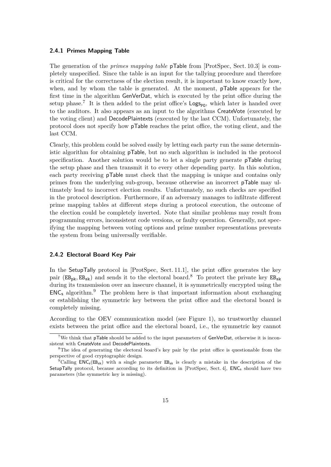#### <span id="page-14-0"></span>**2.4.1 Primes Mapping Table**

The generation of the *primes mapping table* pTable from [ProtSpec, Sect. 10.3] is completely unspecified. Since the table is an input for the tallying procedure and therefore is critical for the correctness of the election result, it is important to know exactly how, when, and by whom the table is generated. At the moment, pTable appears for the first time in the algorithm GenVerDat, which is executed by the print office during the setup phase.<sup>7</sup> It is then added to the print office's  $\text{Log}_\text{P0}$ , which later is handed over to the auditors. It also appears as an input to the algorithms CreateVote (executed by the voting client) and DecodePlaintexts (executed by the last CCM). Unfortunately, the protocol does not specify how pTable reaches the print office, the voting client, and the last CCM.

Clearly, this problem could be solved easily by letting each party run the same deterministic algorithm for obtaining pTable, but no such algorithm is included in the protocol specification. Another solution would be to let a single party generate pTable during the setup phase and then transmit it to every other depending party. In this solution, each party receiving pTable must check that the mapping is unique and contains only primes from the underlying sub-group, because otherwise an incorrect pTable may ultimately lead to incorrect election results. Unfortunately, no such checks are specified in the protocol description. Furthermore, if an adversary manages to infiltrate different prime mapping tables at different steps during a protocol execution, the outcome of the election could be completely inverted. Note that similar problems may result from programming errors, inconsistent code versions, or faulty operation. Generally, not specifying the mapping between voting options and prime number representations prevents the system from being universally verifiable.

#### **2.4.2 Electoral Board Key Pair**

In the SetupTally protocol in [ProtSpec, Sect. 11.1], the print office generates the key pair  $(EB_{pk}, EB_{sk})$  and sends it to the electoral board.<sup>8</sup> To protect the private key  $EB_{sk}$ during its transmission over an insecure channel, it is symmetrically encrypted using the  $ENC<sub>s</sub> algorithm.<sup>9</sup>$  The problem here is that important information about exchanging or establishing the symmetric key between the print office and the electoral board is completely missing.

According to the OEV communication model (see Figure [1\)](#page-8-0), no trustworthy channel exists between the print office and the electoral board, i.e., the symmetric key cannot

<sup>&</sup>lt;sup>7</sup>We think that **pTable** should be added to the input parameters of  $GenVerCat$ , otherwise it is inconsistent with CreateVote and DecodePlaintexts.

<sup>&</sup>lt;sup>8</sup>The idea of generating the electoral board's key pair by the print office is questionable from the perspective of good cryptographic design.

<sup>&</sup>lt;sup>9</sup>Calling  $ENC_s(EB_{sk})$  with a single parameter  $EB_{sk}$  is clearly a mistake in the description of the SetupTally protocol, because according to its definition in [ProtSpec, Sect. 4], ENC<sub>s</sub> should have two parameters (the symmetric key is missing).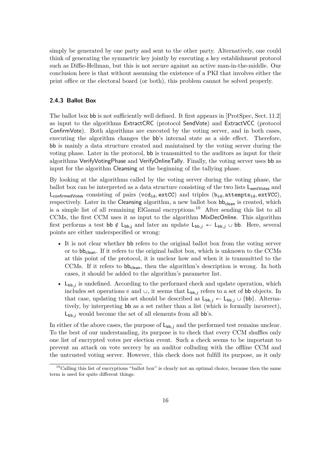simply be generated by one party and sent to the other party. Alternatively, one could think of generating the symmetric key jointly by executing a key establishment protocol such as Diffie-Hellman, but this is not secure against an active man-in-the-middle. Our conclusion here is that without assuming the existence of a PKI that involves either the print office or the electoral board (or both), this problem cannot be solved properly.

#### **2.4.3 Ballot Box**

The ballot box bb is not sufficiently well defined. It first appears in [ProtSpec, Sect. 11.2] as input to the algorithms ExtractCRC (protocol SendVote) and ExtractVCC (protocol ConfirmVote). Both algorithms are executed by the voting server, and in both cases, executing the algorithm changes the bb's internal state as a side effect. Therefore, bb is mainly a data structure created and maintained by the voting server during the voting phase. Later in the protocol, bb is transmitted to the auditors as input for their algorithms VerifyVotingPhase and VerifyOnlineTally. Finally, the voting server uses bb as input for the algorithm Cleansing at the beginning of the tallying phase.

By looking at the algorithms called by the voting server during the voting phase, the ballot box can be interpreted as a data structure consisting of the two lists  $L_{\text{sentVotes}}$  and L<sub>confirmedvotes</sub> consisting of pairs (vcd<sub>id</sub>, extCC) and triples (b<sub>id</sub>, attempts<sub>id</sub>, extVCC), respectively. Later in the Cleansing algorithm, a new ballot box  $bb_{clean}$  is created, which is a simple list of all remaining ElGamal encryptions.<sup>10</sup> After sending this list to all CCMs, the first CCM uses it as input to the algorithm MixDecOnline. This algorithm first performs a test bb  $\notin L_{bb,j}$  and later an update  $L_{bb,j} \leftarrow L_{bb,j} \cup bb$ . Here, several points are either underspecified or wrong:

- It is not clear whether bb refers to the original ballot box from the voting server or to bb<sub>clean</sub>. If it refers to the original ballot box, which is unknown to the CCMs at this point of the protocol, it is unclear how and when it is transmitted to the CCMs. If it refers to  $bb_{clean}$ , then the algorithm's description is wrong. In both cases, it should be added to the algorithm's parameter list.
- $\bullet$   $\mathsf{L}_{\text{bb},j}$  is undefined. According to the performed check and update operation, which includes set operations  $\in$  and  $\cup$ , it seems that  $L_{bb,j}$  refers to a set of bb objects. In that case, updating this set should be described as  $L_{bb,j} \leftarrow L_{bb,j} \cup \{bb\}$ . Alternatively, by interpreting bb as a set rather than a list (which is formally incorrect),  $L_{bb,j}$  would become the set of all elements from all bb's.

In either of the above cases, the purpose of  $L_{bb,j}$  and the performed test remains unclear. To the best of our understanding, its purpose is to check that every CCM shuffles only one list of encrypted votes per election event. Such a check seems to be important to prevent an attack on vote secrecy by an auditor colluding with the offline CCM and the untrusted voting server. However, this check does not fulfill its purpose, as it only

 $10^{\circ}$ Calling this list of encryptions "ballot box" is clearly not an optimal choice, because then the same term is used for quite different things.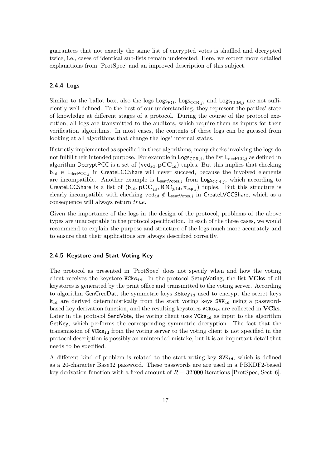guarantees that not exactly the same list of encrypted votes is shuffled and decrypted twice, i.e., cases of identical sub-lists remain undetected. Here, we expect more detailed explanations from [ProtSpec] and an improved description of this subject.

#### **2.4.4 Logs**

Similar to the ballot box, also the logs  $\text{Log}_\text{PO}$ ,  $\text{Log}_\text{CCR},j$  and  $\text{Log}_\text{CCM},j$  are not sufficiently well defined. To the best of our understanding, they represent the parties' state of knowledge at different stages of a protocol. During the course of the protocol execution, all logs are transmitted to the auditors, which require them as inputs for their verification algorithms. In most cases, the contents of these logs can be guessed from looking at all algorithms that change the logs' internal states.

If strictly implemented as specified in these algorithms, many checks involving the logs do not fulfill their intended purpose. For example in  $\text{Log}_{\text{CCR},j}$ , the list  $\text{L}_{\text{decPCC},j}$  as defined in algorithm DecryptPCC is a set of  $(\text{vcd}_{id}, \text{pCC}_{id})$  tuples. But this implies that checking  $b_{id} \in L_{decPCC,j}$  in CreateLCCShare will never succeed, because the involved elements are incompatible. Another example is  $L_{sentVotes,j}$  from  $Log_{CCR,j}$ , which according to CreateLCCShare is a list of  $(b_{id}, pCC_{id}, ICC_{j,id}, \pi_{exp,j})$  tuples. But this structure is clearly incompatible with checking  $\text{vcd}_{id} \notin L_{sentVotes,j}$  in CreateLVCCShare, which as a consequence will always return *true*.

Given the importance of the logs in the design of the protocol, problems of the above types are unacceptable in the protocol specification. In each of the three cases, we would recommend to explain the purpose and structure of the logs much more accurately and to ensure that their applications are always described correctly.

#### **2.4.5 Keystore and Start Voting Key**

The protocol as presented in [ProtSpec] does not specify when and how the voting client receives the keystore  $VCks_{id}$ . In the protocol SetupVoting, the list  $VCks$  of all keystores is generated by the print office and transmitted to the voting server. According to algorithm GenCredDat, the symmetric keys  $KSkey_{id}$  used to encrypt the secret keys  $k_{id}$  are derived deterministically from the start voting keys  $SVK_{id}$  using a passwordbased key derivation function, and the resulting keystores  $VCks_{id}$  are collected in **VCks**. Later in the protocol SendVote, the voting client uses  $VCks_{id}$  as input to the algorithm GetKey, which performs the corresponding symmetric decryption. The fact that the transmission of  $VCks_{id}$  from the voting server to the voting client is not specified in the protocol description is possibly an unintended mistake, but it is an important detail that needs to be specified.

A different kind of problem is related to the start voting key  $SVK_{id}$ , which is defined as a 20-character Base32 password. These passwords are are used in a PBKDF2-based key derivation function with a fixed amount of  $R = 32'000$  iterations [ProtSpec, Sect. 6].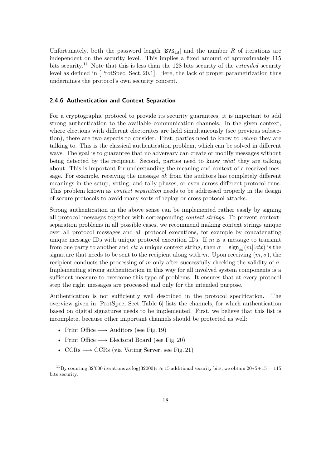Unfortunately, both the password length  $|SVK_{id}|$  and the number *R* of iterations are independent on the security level. This implies a fixed amount of approximately 115 bits security.<sup>11</sup> Note that this is less than the 128 bits security of the *extended* security level as defined in [ProtSpec, Sect. 20.1]. Here, the lack of proper parametrization thus undermines the protocol's own security concept.

#### <span id="page-17-0"></span>**2.4.6 Authentication and Context Separation**

For a cryptographic protocol to provide its security guarantees, it is important to add strong authentication to the available communication channels. In the given context, where elections with different electorates are held simultaneously (see previous subsection), there are two aspects to consider. First, parties need to know to *whom* they are talking to. This is the classical authentication problem, which can be solved in different ways. The goal is to guarantee that no adversary can create or modify messages without being detected by the recipient. Second, parties need to know *what* they are talking about. This is important for understanding the meaning and context of a received message. For example, receiving the message *ok* from the auditors has completely different meanings in the setup, voting, and tally phases, or even across different protocol runs. This problem known as *context separation* needs to be addressed properly in the design of secure protocols to avoid many sorts of replay or cross-protocol attacks.

Strong authentication in the above sense can be implemented rather easily by signing all protocol messages together with corresponding *context strings*. To prevent contextseparation problems in all possible cases, we recommend making context strings unique over all protocol messages and all protocol executions, for example by concatenating unique message IDs with unique protocol execution IDs. If *m* is a message to transmit from one party to another and *ctx* a unique context string, then  $\sigma = \text{sign}_{sk}(m|| ctx)$  is the signature that needs to be sent to the recipient along with *m*. Upon receiving  $(m, \sigma)$ , the recipient conducts the processing of *m* only after successfully checking the validity of  $\sigma$ . Implementing strong authentication in this way for all involved system components is a sufficient measure to overcome this type of problems. It ensures that at every protocol step the right messages are processed and only for the intended purpose.

Authentication is not sufficiently well described in the protocol specification. The overview given in [ProtSpec, Sect. Table 6] lists the channels, for which authentication based on digital signatures needs to be implemented. First, we believe that this list is incomplete, because other important channels should be protected as well:

- Print Office  $\longrightarrow$  Auditors (see Fig. 19)
- Print Office  $\longrightarrow$  Electoral Board (see Fig. 20)
- $CCRs \longrightarrow CCRs$  (via Voting Server, see Fig. 21)

<sup>&</sup>lt;sup>11</sup>By counting 32'000 iterations as  $log(32000)_2 \approx 15$  additional security bits, we obtain  $20*5+15 = 115$ bits security.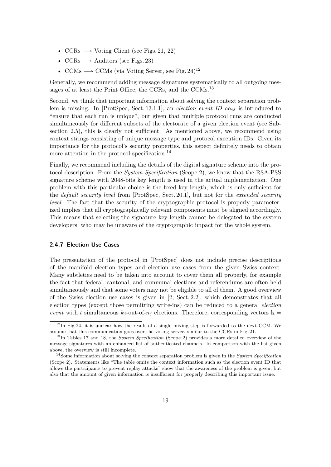- $CCRs \longrightarrow Voting Client (see Figs. 21, 22)$
- $CCRs \longrightarrow$  Auditors (see Figs. 23)
- CCMs  $\longrightarrow$  CCMs (via Voting Server, see Fig. 24)<sup>12</sup>

Generally, we recommend adding message signatures systematically to all outgoing messages of at least the Print Office, the CCRs, and the CCMs.<sup>13</sup>

Second, we think that important information about solving the context separation problem is missing. In [ProtSpec, Sect. 13.1.1], an *election event ID* ee<sub>id</sub> is introduced to "ensure that each run is unique", but given that multiple protocol runs are conducted simultaneously for different subsets of the electorate of a given election event (see Subsection [2.5\)](#page-20-0), this is clearly not sufficient. As mentioned above, we recommend using context strings consisting of unique message type and protocol execution IDs. Given its importance for the protocol's security properties, this aspect definitely needs to obtain more attention in the protocol specification.<sup>14</sup>

Finally, we recommend including the details of the digital signature scheme into the protocol description. From the *System Specification* (Scope 2), we know that the RSA-PSS signature scheme with 2048-bits key length is used in the actual implementation. One problem with this particular choice is the fixed key length, which is only sufficient for the *default security level* from [ProtSpec, Sect. 20.1], but not for the *extended security level.* The fact that the security of the cryptographic protocol is properly parameterized implies that all cryptographically relevant components must be aligned accordingly. This means that selecting the signature key length cannot be delegated to the system developers, who may be unaware of the cryptographic impact for the whole system.

#### <span id="page-18-0"></span>**2.4.7 Election Use Cases**

The presentation of the protocol in [ProtSpec] does not include precise descriptions of the manifold election types and election use cases from the given Swiss context. Many subtleties need to be taken into account to cover them all properly, for example the fact that federal, cantonal, and communal elections and referendums are often held simultaneously and that some voters may not be eligible to all of them. A good overview of the Swiss election use cases is given in [\[2,](#page-32-1) Sect. 2.2], which demonstrates that all election types (except those permitting write-ins) can be reduced to a general *election event* with *t* simultaneous  $k_i$ -out-of- $n_i$  elections. Therefore, corresponding vectors **k** =

 $12$ In Fig.24, it is unclear how the result of a single mixing step is forwarded to the next CCM. We assume that this communication goes over the voting server, similar to the CCRs in Fig. 21.

<sup>13</sup>In Tables 17 and 18, the *System Specification* (Scope 2) provides a more detailed overview of the message signatures with an enhanced list of authenticated channels. In comparison with the list given above, the overview is still incomplete.

<sup>14</sup>Some information about solving the context separation problem is given in the *System Specification* (Scope 2). Statements like "The table omits the context information such as the election event ID that allows the participants to prevent replay attacks" show that the awareness of the problem is given, but also that the amount of given information is insufficient for properly describing this important issue.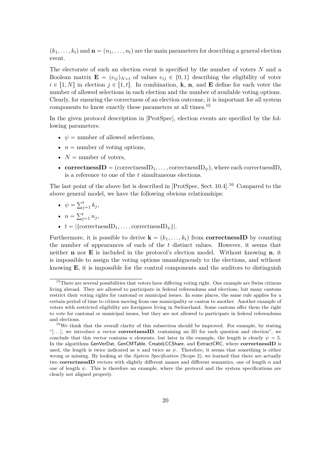$(k_1, \ldots, k_t)$  and  $\mathbf{n} = (n_1, \ldots, n_t)$  are the main parameters for describing a general election event.

The electorate of such an election event is specified by the number of voters *N* and a Boolean matrix  $\mathbf{E} = (e_{ij})_{N \times t}$  of values  $e_{ij} \in \{0,1\}$  describing the eligibility of voter  $i \in [1, N]$  in election  $j \in [1, t]$ . In combination, **k**, **n**, and **E** define for each voter the number of allowed selections in each election and the number of available voting options. Clearly, for ensuring the correctness of an election outcome, it is important for all system components to know exactly these parameters at all times.<sup>15</sup>

In the given protocol description in [ProtSpec], election events are specified by the following parameters:

- $\psi$  = number of allowed selections,
- $n =$  number of voting options,
- $N =$  number of voters,
- **correctnessID** =  $(\text{correctnessID}_1, \ldots, \text{correctnessID}_\psi)$ , where each correctnessID<sub>*i*</sub> is a reference to one of the *t* simultaneous elections.

The last point of the above list is described in [ProtSpec, Sect. 10.4].<sup>16</sup> Compared to the above general model, we have the following obvious relationships:

- $\psi = \sum_{i=1}^{t}$  $^{t}_{j=1} k_{j}$
- $n = \sum_{i=1}^{t}$  $i_{j=1}^{t} n_{j}$
- $t = |\{\text{correctnessID}_1, \ldots, \text{correctnessID}_{\psi}\}|.$

Furthermore, it is possible to derive  $\mathbf{k} = (k_1, \ldots, k_t)$  from **correctnessID** by counting the number of appearances of each of the *t* distinct values. However, it seems that neither **n** nor **E** is included in the protocol's election model. Without knowing **n**, it is impossible to assign the voting options unambiguously to the elections, and without knowing **E**, it is impossible for the control components and the auditors to distinguish

 $15$ There are several possibilities that voters have differing voting right. One example are Swiss citizens living abroad. They are allowed to participate in federal referendums and elections, but many cantons restrict their voting rights for cantonal or municipal issues. In some places, the same rule applies for a certain period of time to citizen moving from one municipality or canton to another. Another example of voters with restricted eligibility are foreigners living in Switzerland. Some cantons offer them the right to vote for cantonal or municipal issues, but they are not allowed to participate in federal referendums and elections.

<sup>&</sup>lt;sup>16</sup>We think that the overall clarity of this subsection should be improved. For example, by stating "[ $\dots$ ], we introduce a vector **correctnessID**, containing an ID for each question and election", we conclude that this vector contains *n* elements, but later in the example, the length is clearly  $\psi = 5$ . In the algorithms GenVerDat, GenCMTable, CreateLCCShare, and ExtractCRC, where **correctnessID** is used, the length is twice indicated as *n* and twice as  $\psi$ . Therefore, it seems that something is either wrong or missing. By looking at the *System Specification* (Scope 2), we learned that there are actually two **correctnessID** vectors with slightly different names and different semantics, one of length *n* and one of length  $\psi$ . This is therefore an example, where the protocol and the system specifications are clearly not aligned properly.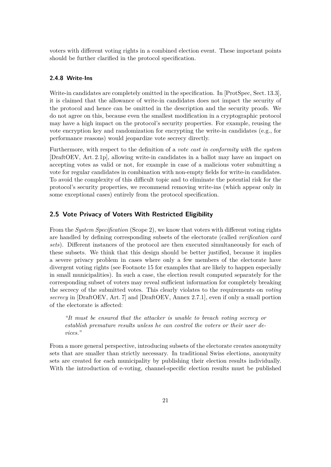voters with different voting rights in a combined election event. These important points should be further clarified in the protocol specification.

#### **2.4.8 Write-Ins**

Write-in candidates are completely omitted in the specification. In [ProtSpec, Sect. 13.3], it is claimed that the allowance of write-in candidates does not impact the security of the protocol and hence can be omitted in the description and the security proofs. We do not agree on this, because even the smallest modification in a cryptographic protocol may have a high impact on the protocol's security properties. For example, reusing the vote encryption key and randomization for encrypting the write-in candidates (e.g., for performance reasons) would jeopardize vote secrecy directly.

Furthermore, with respect to the definition of a *vote cast in conformity with the system* [DraftOEV, Art. 2.1p], allowing write-in candidates in a ballot may have an impact on accepting votes as valid or not, for example in case of a malicious voter submitting a vote for regular candidates in combination with non-empty fields for write-in candidates. To avoid the complexity of this difficult topic and to eliminate the potential risk for the protocol's security properties, we recommend removing write-ins (which appear only in some exceptional cases) entirely from the protocol specification.

#### <span id="page-20-0"></span>**2.5 Vote Privacy of Voters With Restricted Eligibility**

From the *System Specification* (Scope 2), we know that voters with different voting rights are handled by defining corresponding subsets of the electorate (called *verification card sets*). Different instances of the protocol are then executed simultaneously for each of these subsets. We think that this design should be better justified, because it implies a severe privacy problem in cases where only a few members of the electorate have divergent voting rights (see Footnote [15](#page-18-0) for examples that are likely to happen especially in small municipalities). In such a case, the election result computed separately for the corresponding subset of voters may reveal sufficient information for completely breaking the secrecy of the submitted votes. This clearly violates to the requirements on *voting secrecy* in [DraftOEV, Art. 7] and [DraftOEV, Annex 2.7.1], even if only a small portion of the electorate is affected:

*"It must be ensured that the attacker is unable to breach voting secrecy or establish premature results unless he can control the voters or their user devices."*

From a more general perspective, introducing subsets of the electorate creates anonymity sets that are smaller than strictly necessary. In traditional Swiss elections, anonymity sets are created for each municipality by publishing their election results individually. With the introduction of e-voting, channel-specific election results must be published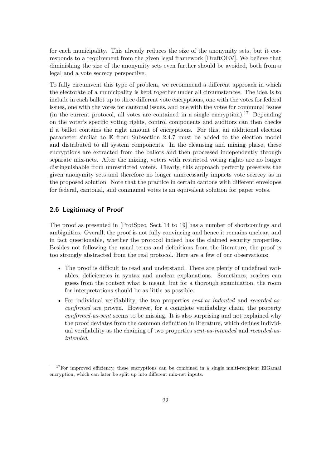for each municipality. This already reduces the size of the anonymity sets, but it corresponds to a requirement from the given legal framework [DraftOEV]. We believe that diminishing the size of the anonymity sets even further should be avoided, both from a legal and a vote secrecy perspective.

To fully circumvent this type of problem, we recommend a different approach in which the electorate of a municipality is kept together under all circumstances. The idea is to include in each ballot up to three different vote encryptions, one with the votes for federal issues, one with the votes for cantonal issues, and one with the votes for communal issues (in the current protocol, all votes are contained in a single encryption).<sup>17</sup> Depending on the voter's specific voting rights, control components and auditors can then checks if a ballot contains the right amount of encryptions. For this, an additional election parameter similar to **E** from Subsection [2.4.7](#page-18-0) must be added to the election model and distributed to all system components. In the cleansing and mixing phase, these encryptions are extracted from the ballots and then processed independently through separate mix-nets. After the mixing, voters with restricted voting rights are no longer distinguishable from unrestricted voters. Clearly, this approach perfectly preserves the given anonymity sets and therefore no longer unnecessarily impacts vote secrecy as in the proposed solution. Note that the practice in certain cantons with different envelopes for federal, cantonal, and communal votes is an equivalent solution for paper votes.

#### <span id="page-21-0"></span>**2.6 Legitimacy of Proof**

The proof as presented in [ProtSpec, Sect. 14 to 19] has a number of shortcomings and ambiguities. Overall, the proof is not fully convincing and hence it remains unclear, and in fact questionable, whether the protocol indeed has the claimed security properties. Besides not following the usual terms and definitions from the literature, the proof is too strongly abstracted from the real protocol. Here are a few of our observations:

- The proof is difficult to read and understand. There are plenty of undefined variables, deficiencies in syntax and unclear explanations. Sometimes, readers can guess from the context what is meant, but for a thorough examination, the room for interpretations should be as little as possible.
- For individual verifiability, the two properties *sent-as-indented* and *recorded-asconfirmed* are proven. However, for a complete verifiability chain, the property *confirmed-as-sent* seems to be missing. It is also surprising and not explained why the proof deviates from the common definition in literature, which defines individual verifiability as the chaining of two properties *sent-as-intended* and *recorded-asintended*.

 $17$ For improved efficiency, these encryptions can be combined in a single multi-recipient ElGamal encryption, which can later be split up into different mix-net inputs.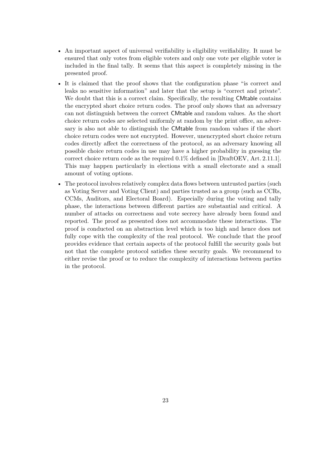- An important aspect of universal verifiability is eligibility verifiability. It must be ensured that only votes from eligible voters and only one vote per eligible voter is included in the final tally. It seems that this aspect is completely missing in the presented proof.
- It is claimed that the proof shows that the configuration phase "is correct and leaks no sensitive information" and later that the setup is "correct and private". We doubt that this is a correct claim. Specifically, the resulting CMtable contains the encrypted short choice return codes. The proof only shows that an adversary can not distinguish between the correct CMtable and random values. As the short choice return codes are selected uniformly at random by the print office, an adversary is also not able to distinguish the CMtable from random values if the short choice return codes were not encrypted. However, unencrypted short choice return codes directly affect the correctness of the protocol, as an adversary knowing all possible choice return codes in use may have a higher probability in guessing the correct choice return code as the required 0*.*1% defined in [DraftOEV, Art. 2.11.1]. This may happen particularly in elections with a small electorate and a small amount of voting options.
- The protocol involves relatively complex data flows between untrusted parties (such as Voting Server and Voting Client) and parties trusted as a group (such as CCRs, CCMs, Auditors, and Electoral Board). Especially during the voting and tally phase, the interactions between different parties are substantial and critical. A number of attacks on correctness and vote secrecy have already been found and reported. The proof as presented does not accommodate these interactions. The proof is conducted on an abstraction level which is too high and hence does not fully cope with the complexity of the real protocol. We conclude that the proof provides evidence that certain aspects of the protocol fulfill the security goals but not that the complete protocol satisfies these security goals. We recommend to either revise the proof or to reduce the complexity of interactions between parties in the protocol.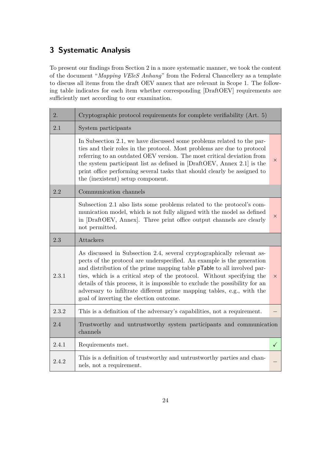## <span id="page-23-0"></span>**3 Systematic Analysis**

To present our findings from Section [2](#page-7-0) in a more systematic manner, we took the content of the document "*Mapping VEleS Anhang*" from the Federal Chancellery as a template to discuss all items from the draft OEV annex that are relevant in Scope 1. The following table indicates for each item whether corresponding [DraftOEV] requirements are sufficiently met according to our examination.

| 2.    | Cryptographic protocol requirements for complete verifiability (Art. 5)                                                                                                                                                                                                                                                                                                                                                                                                                                          |              |
|-------|------------------------------------------------------------------------------------------------------------------------------------------------------------------------------------------------------------------------------------------------------------------------------------------------------------------------------------------------------------------------------------------------------------------------------------------------------------------------------------------------------------------|--------------|
| 2.1   | System participants                                                                                                                                                                                                                                                                                                                                                                                                                                                                                              |              |
|       | In Subsection 2.1, we have discussed some problems related to the par-<br>ties and their roles in the protocol. Most problems are due to protocol<br>referring to an outdated OEV version. The most critical deviation from<br>the system participant list as defined in [DraftOEV, Annex 2.1] is the<br>print office performing several tasks that should clearly be assigned to<br>the (inexistent) setup component.                                                                                           | $\times$     |
| 2.2   | Communication channels                                                                                                                                                                                                                                                                                                                                                                                                                                                                                           |              |
|       | Subsection 2.1 also lists some problems related to the protocol's com-<br>munication model, which is not fully aligned with the model as defined<br>in [DraftOEV, Annex]. Three print office output channels are clearly<br>not permitted.                                                                                                                                                                                                                                                                       | $\times$     |
| 2.3   | Attackers                                                                                                                                                                                                                                                                                                                                                                                                                                                                                                        |              |
| 2.3.1 | As discussed in Subsection 2.4, several cryptographically relevant as-<br>pects of the protocol are underspecified. An example is the generation<br>and distribution of the prime mapping table <b>pTable</b> to all involved par-<br>ties, which is a critical step of the protocol. Without specifying the<br>details of this process, it is impossible to exclude the possibility for an<br>adversary to infiltrate different prime mapping tables, e.g., with the<br>goal of inverting the election outcome. | $\times$     |
| 2.3.2 | This is a definition of the adversary's capabilities, not a requirement.                                                                                                                                                                                                                                                                                                                                                                                                                                         |              |
| 2.4   | Trustworthy and untrustworthy system participants and communication<br>channels                                                                                                                                                                                                                                                                                                                                                                                                                                  |              |
| 2.4.1 | Requirements met.                                                                                                                                                                                                                                                                                                                                                                                                                                                                                                | $\checkmark$ |
| 2.4.2 | This is a definition of trustworthy and untrustworthy parties and chan-<br>nels, not a requirement.                                                                                                                                                                                                                                                                                                                                                                                                              |              |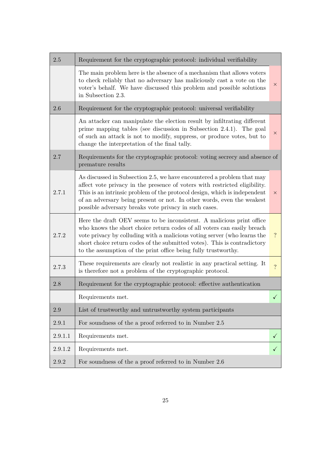| $2.5\,$ | Requirement for the cryptographic protocol: individual verifiability                                                                                                                                                                                                                                                                                                       |                    |
|---------|----------------------------------------------------------------------------------------------------------------------------------------------------------------------------------------------------------------------------------------------------------------------------------------------------------------------------------------------------------------------------|--------------------|
|         | The main problem here is the absence of a mechanism that allows voters<br>to check reliably that no adversary has maliciously cast a vote on the<br>voter's behalf. We have discussed this problem and possible solutions<br>in Subsection 2.3.                                                                                                                            | $\times$           |
| 2.6     | Requirement for the cryptographic protocol: universal verifiability                                                                                                                                                                                                                                                                                                        |                    |
|         | An attacker can manipulate the election result by infiltrating different<br>prime mapping tables (see discussion in Subsection 2.4.1). The goal<br>of such an attack is not to modify, suppress, or produce votes, but to<br>change the interpretation of the final tally.                                                                                                 | $\times$           |
| 2.7     | Requirements for the cryptographic protocol: voting secrecy and absence of<br>premature results                                                                                                                                                                                                                                                                            |                    |
| 2.7.1   | As discussed in Subsection 2.5, we have encountered a problem that may<br>affect vote privacy in the presence of voters with restricted eligibility.<br>This is an intrinsic problem of the protocol design, which is independent<br>of an adversary being present or not. In other words, even the weakest<br>possible adversary breaks vote privacy in such cases.       | $\times$           |
| 2.7.2   | Here the draft OEV seems to be inconsistent. A malicious print office<br>who knows the short choice return codes of all voters can easily breach<br>vote privacy by colluding with a malicious voting server (who learns the<br>short choice return codes of the submitted votes). This is contradictory<br>to the assumption of the print office being fully trustworthy. | $\overline{\cdot}$ |
| 2.7.3   | These requirements are clearly not realistic in any practical setting. It<br>is therefore not a problem of the cryptographic protocol.                                                                                                                                                                                                                                     | $\overline{?}$     |
| 2.8     | Requirement for the cryptographic protocol: effective authentication                                                                                                                                                                                                                                                                                                       |                    |
|         | Requirements met.                                                                                                                                                                                                                                                                                                                                                          | $\checkmark$       |
| 2.9     | List of trustworthy and untrustworthy system participants                                                                                                                                                                                                                                                                                                                  |                    |
| 2.9.1   | For soundness of the a proof referred to in Number 2.5                                                                                                                                                                                                                                                                                                                     |                    |
| 2.9.1.1 | Requirements met.                                                                                                                                                                                                                                                                                                                                                          | $\checkmark$       |
| 2.9.1.2 | Requirements met.                                                                                                                                                                                                                                                                                                                                                          | $\checkmark$       |
| 2.9.2   | For soundness of the a proof referred to in Number 2.6                                                                                                                                                                                                                                                                                                                     |                    |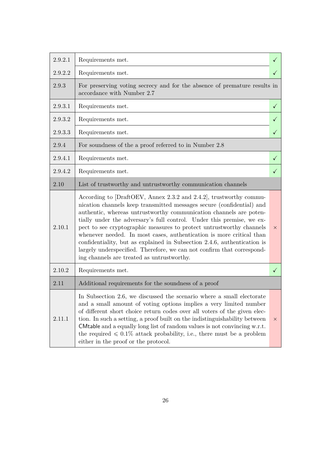| 2.9.2.1 | Requirements met.                                                                                                                                                                                                                                                                                                                                                                                                                                                                                                                                                                                                                              | $\checkmark$ |
|---------|------------------------------------------------------------------------------------------------------------------------------------------------------------------------------------------------------------------------------------------------------------------------------------------------------------------------------------------------------------------------------------------------------------------------------------------------------------------------------------------------------------------------------------------------------------------------------------------------------------------------------------------------|--------------|
| 2.9.2.2 | Requirements met.                                                                                                                                                                                                                                                                                                                                                                                                                                                                                                                                                                                                                              | $\checkmark$ |
| 2.9.3   | For preserving voting secrecy and for the absence of premature results in<br>accordance with Number 2.7                                                                                                                                                                                                                                                                                                                                                                                                                                                                                                                                        |              |
| 2.9.3.1 | Requirements met.                                                                                                                                                                                                                                                                                                                                                                                                                                                                                                                                                                                                                              | $\checkmark$ |
| 2.9.3.2 | Requirements met.                                                                                                                                                                                                                                                                                                                                                                                                                                                                                                                                                                                                                              | $\checkmark$ |
| 2.9.3.3 | Requirements met.                                                                                                                                                                                                                                                                                                                                                                                                                                                                                                                                                                                                                              | $\checkmark$ |
| 2.9.4   | For soundness of the a proof referred to in Number 2.8                                                                                                                                                                                                                                                                                                                                                                                                                                                                                                                                                                                         |              |
| 2.9.4.1 | Requirements met.                                                                                                                                                                                                                                                                                                                                                                                                                                                                                                                                                                                                                              | $\checkmark$ |
| 2.9.4.2 | Requirements met.                                                                                                                                                                                                                                                                                                                                                                                                                                                                                                                                                                                                                              | $\checkmark$ |
| 2.10    | List of trustworthy and untrustworthy communication channels                                                                                                                                                                                                                                                                                                                                                                                                                                                                                                                                                                                   |              |
| 2.10.1  | According to [DraftOEV, Annex 2.3.2 and 2.4.2], trustworthy commu-<br>nication channels keep transmitted messages secure (confidential) and<br>authentic, whereas untrustworthy communication channels are poten-<br>tially under the adversary's full control. Under this premise, we ex-<br>pect to see cryptographic measures to protect untrustworthy channels<br>whenever needed. In most cases, authentication is more critical than<br>confidentiality, but as explained in Subsection 2.4.6, authentication is<br>largely underspecified. Therefore, we can not confirm that correspond-<br>ing channels are treated as untrustworthy. | $\times$     |
| 2.10.2  | Requirements met.                                                                                                                                                                                                                                                                                                                                                                                                                                                                                                                                                                                                                              | $\checkmark$ |
| 2.11    | Additional requirements for the soundness of a proof                                                                                                                                                                                                                                                                                                                                                                                                                                                                                                                                                                                           |              |
| 2.11.1  | In Subsection 2.6, we discussed the scenario where a small electorate<br>and a small amount of voting options implies a very limited number<br>of different short choice return codes over all voters of the given elec-<br>tion. In such a setting, a proof built on the indistinguishability between<br>CM table and a equally long list of random values is not convincing $w.r.t.$<br>the required $\leq 0.1\%$ attack probability, i.e., there must be a problem<br>either in the proof or the protocol.                                                                                                                                  | $\times$     |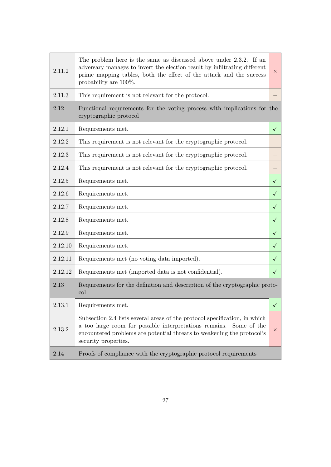| 2.11.2  | The problem here is the same as discussed above under 2.3.2. If an<br>adversary manages to invert the election result by infiltrating different<br>prime mapping tables, both the effect of the attack and the success<br>probability are 100%.       | $\times$     |
|---------|-------------------------------------------------------------------------------------------------------------------------------------------------------------------------------------------------------------------------------------------------------|--------------|
| 2.11.3  | This requirement is not relevant for the protocol.                                                                                                                                                                                                    |              |
| 2.12    | Functional requirements for the voting process with implications for the<br>cryptographic protocol                                                                                                                                                    |              |
| 2.12.1  | Requirements met.                                                                                                                                                                                                                                     | $\checkmark$ |
| 2.12.2  | This requirement is not relevant for the cryptographic protocol.                                                                                                                                                                                      |              |
| 2.12.3  | This requirement is not relevant for the cryptographic protocol.                                                                                                                                                                                      |              |
| 2.12.4  | This requirement is not relevant for the cryptographic protocol.                                                                                                                                                                                      |              |
| 2.12.5  | Requirements met.                                                                                                                                                                                                                                     | $\checkmark$ |
| 2.12.6  | Requirements met.                                                                                                                                                                                                                                     | $\checkmark$ |
| 2.12.7  | Requirements met.                                                                                                                                                                                                                                     | $\checkmark$ |
| 2.12.8  | Requirements met.                                                                                                                                                                                                                                     | $\checkmark$ |
| 2.12.9  | Requirements met.                                                                                                                                                                                                                                     | $\checkmark$ |
| 2.12.10 | Requirements met.                                                                                                                                                                                                                                     | $\checkmark$ |
| 2.12.11 | Requirements met (no voting data imported).                                                                                                                                                                                                           | $\checkmark$ |
| 2.12.12 | Requirements met (imported data is not confidential).                                                                                                                                                                                                 | $\checkmark$ |
| 2.13    | Requirements for the definition and description of the cryptographic proto-<br>col                                                                                                                                                                    |              |
| 2.13.1  | Requirements met.                                                                                                                                                                                                                                     | $\checkmark$ |
| 2.13.2  | Subsection 2.4 lists several areas of the protocol specification, in which<br>a too large room for possible interpretations remains.<br>Some of the<br>encountered problems are potential threats to weakening the protocol's<br>security properties. | X            |
| 2.14    | Proofs of compliance with the cryptographic protocol requirements                                                                                                                                                                                     |              |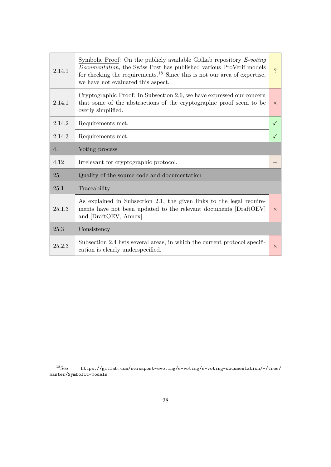| 2.14.1 | Symbolic Proof: On the publicly available GitLab repository $E\text{-}voting$<br><i>Documentation</i> , the Swiss Post has published various ProVerif models<br>for checking the requirements. <sup>18</sup> Since this is not our area of expertise,<br>we have not evaluated this aspect. | $\overline{?}$ |
|--------|---------------------------------------------------------------------------------------------------------------------------------------------------------------------------------------------------------------------------------------------------------------------------------------------|----------------|
| 2.14.1 | Cryptographic Proof: In Subsection 2.6, we have expressed our concern<br>that some of the abstractions of the cryptographic proof seem to be<br>overly simplified.                                                                                                                          | $\times$       |
| 2.14.2 | Requirements met.                                                                                                                                                                                                                                                                           | $\checkmark$   |
| 2.14.3 | Requirements met.                                                                                                                                                                                                                                                                           | $\checkmark$   |
| 4.     | Voting process                                                                                                                                                                                                                                                                              |                |
|        |                                                                                                                                                                                                                                                                                             |                |
| 4.12   | Irrelevant for cryptographic protocol.                                                                                                                                                                                                                                                      |                |
| 25.    | Quality of the source code and documentation                                                                                                                                                                                                                                                |                |
| 25.1   | Traceability                                                                                                                                                                                                                                                                                |                |
| 25.1.3 | As explained in Subsection 2.1, the given links to the legal require-<br>ments have not been updated to the relevant documents [DraftOEV]<br>and [DraftOEV, Annex].                                                                                                                         | $\times$       |
| 25.3   | Consistency                                                                                                                                                                                                                                                                                 |                |

 $^{18}$ See [https://gitlab.com/swisspost-evoting/e-voting/e-voting-documentation/-/tree/](https://gitlab.com/swisspost-evoting/e-voting/e-voting-documentation/-/tree/master/Symbolic-models) [master/Symbolic-models](https://gitlab.com/swisspost-evoting/e-voting/e-voting-documentation/-/tree/master/Symbolic-models)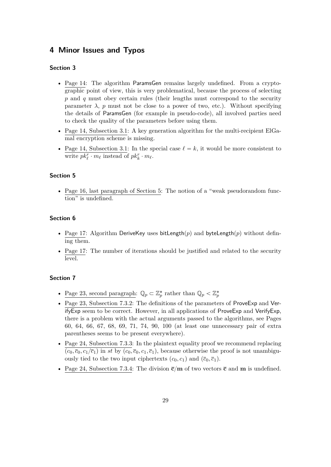## <span id="page-28-0"></span>**4 Minor Issues and Typos**

#### **Section 3**

- Page 14: The algorithm ParamsGen remains largely undefined. From a cryptographic point of view, this is very problematical, because the process of selecting *p* and *q* must obey certain rules (their lengths must correspond to the security parameter  $\lambda$ ,  $p$  must not be close to a power of two, etc.). Without specifying the details of ParamsGen (for example in pseudo-code), all involved parties need to check the quality of the parameters before using them.
- Page 14, Subsection 3.1: A key generation algorithm for the multi-recipient ElGamal encryption scheme is missing.
- Page 14, Subsection 3.1: In the special case  $\ell = k$ , it would be more consistent to write  $pk_{\ell}^{r} \cdot m_{\ell}$  instead of  $pk_{k}^{r} \cdot m_{\ell}$ .

#### **Section 5**

• Page 16, last paragraph of Section 5: The notion of a "weak pseudorandom function" is undefined.

#### **Section 6**

- Page 17: Algorithm DeriveKey uses bitLength $(p)$  and byteLength $(p)$  without defining them.
- Page 17: The number of iterations should be justified and related to the security level.

- <u>Page 23, second paragraph</u>:  $\mathbb{Q}_p \subset \mathbb{Z}_p^*$  rather than  $\mathbb{Q}_p < \mathbb{Z}_p^*$
- Page 23, Subsection 7.3.2: The definitions of the parameters of ProveExp and VerifyExp seem to be correct. However, in all applications of ProveExp and VerifyExp, there is a problem with the actual arguments passed to the algorithms, see Pages 60, 64, 66, 67, 68, 69, 71, 74, 90, 100 (at least one unnecessary pair of extra parentheses seems to be present everywhere).
- Page 24, Subsection 7.3.3: In the plaintext equality proof we recommend replacing  $\overline{(c_0, \overline{c}_0, c_1/\overline{c}_1)}$  in *st* by  $(c_0, \overline{c}_0, c_1, \overline{c}_1)$ , because otherwise the proof is not unambiguously tied to the two input ciphertexts  $(c_0, c_1)$  and  $(\bar{c}_0, \bar{c}_1)$ .
- Page 24, Subsection 7.3.4: The division  $\bar{\mathbf{c}}/\mathbf{m}$  of two vectors  $\bar{\mathbf{c}}$  and  $\mathbf{m}$  is undefined.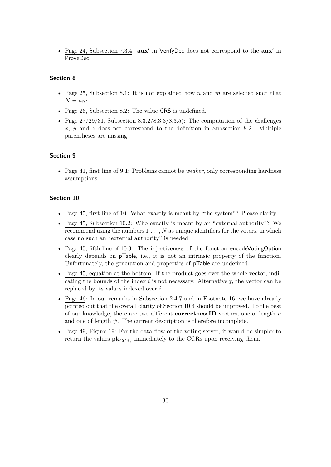• Page 24, Subsection 7.3.4:  $aux'$  in VerifyDec does not correspond to the  $aux'$  in ProveDec.

#### **Section 8**

- Page 25, Subsection 8.1: It is not explained how *n* and *m* are selected such that  $\overline{N} = nm$ .
- Page 26, Subsection 8.2: The value CRS is undefined.
- Page  $27/29/31$ , Subsection  $8.3.2/8.3.3/8.3.5$ ): The computation of the challenges *x*, *y* and *z* does not correspond to the definition in Subsection 8.2. Multiple parentheses are missing.

#### **Section 9**

• Page 41, first line of 9.1: Problems cannot be *weaker*, only corresponding hardness assumptions.

- Page 45, first line of 10: What exactly is meant by "the system"? Please clarify.
- Page 45, Subsection 10.2: Who exactly is meant by an "external authority"? We recommend using the numbers 1 *. . . , N* as unique identifiers for the voters, in which case no such an "external authority" is needed.
- Page 45, fifth line of 10.3: The injectiveness of the function encodeVotingOption clearly depends on pTable, i.e., it is not an intrinsic property of the function. Unfortunately, the generation and properties of pTable are undefined.
- Page 45, equation at the bottom: If the product goes over the whole vector, indicating the bounds of the index *i* is not necessary. Alternatively, the vector can be replaced by its values indexed over *i*.
- Page 46: In our remarks in Subsection [2.4.7](#page-18-0) and in Footnote [16,](#page-18-0) we have already pointed out that the overall clarity of Section 10.4 should be improved. To the best of our knowledge, there are two different **correctnessID** vectors, one of length *n* and one of length  $\psi$ . The current description is therefore incomplete.
- Page 49, Figure 19: For the data flow of the voting server, it would be simpler to return the values  $\mathbf{pk}_{\text{CCR}_j}$  immediately to the CCRs upon receiving them.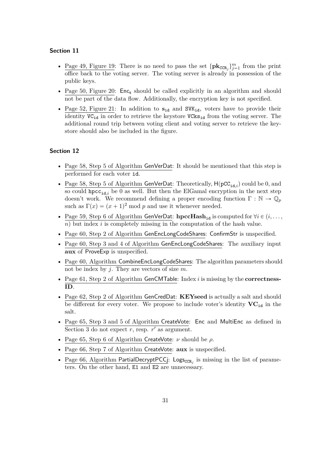#### **Section 11**

- <u>Page 49, Figure 19</u>: There is no need to pass the set  $\{\mathbf{pk}_{\text{CCR}_j}\}_{j=1}^m$  from the print office back to the voting server. The voting server is already in possession of the public keys.
- Page 50, Figure 20:  $Enc<sub>s</sub>$  should be called explicitly in an algorithm and should not be part of the data flow. Additionally, the encryption key is not specified.
- Page 52, Figure 21: In addition to  $s_{id}$  and SVK<sub>id</sub>, voters have to provide their identity  $VC_{id}$  in order to retrieve the keystore  $VCks_{id}$  from the voting server. The additional round trip between voting client and voting server to retrieve the keystore should also be included in the figure.

- Page 58, Step 5 of Algorithm GenVerDat: It should be mentioned that this step is performed for each voter id.
- Page 58, Step 5 of Algorithm GenVerDat: Theoretically,  $H(pCC_{id,i})$  could be 0, and so could hpcc<sub>id<sub>i</sub></sub> be 0 as well. But then the ElGamal encryption in the next step doesn't work. We recommend defining a proper encoding function  $\Gamma : \mathbb{N} \to \mathbb{Q}_p$ such as  $\Gamma(x) = (x + 1)^2 \mod p$  and use it whenever needed.
- Page 59, Step 6 of Algorithm GenVerDat:  $\textbf{hpcHash}_{id}$  is computed for  $\forall i \in (i, \ldots, j)$  $n$ ) but index *i* is completely missing in the computation of the hash value.
- Page 60, Step 2 of Algorithm GenEncLongCodeShares: ConfirmStr is unspecified.
- Page 60, Step 3 and 4 of Algorithm GenEncLongCodeShares: The auxiliary input **aux** of ProveExp is unspecified.
- Page 60, Algorithm CombineEncLongCodeShares: The algorithm parameters should not be index by *j*. They are vectors of size *m*.
- Page 61, Step 2 of Algorithm GenCMTable: Index *i* is missing by the **correctness-ID**.
- Page 62, Step 2 of Algorithm GenCredDat: **KEYseed** is actually a salt and should be different for every voter. We propose to include voter's identity  $VC_{id}$  in the salt.
- Page 65, Step 3 and 5 of Algorithm CreateVote: Enc and MultiEnc as defined in Section 3 do not expect  $r$ , resp.  $r'$  as argument.
- Page 65, Step 6 of Algorithm CreateVote: *ν* should be *ρ*.
- Page 66, Step 7 of Algorithm CreateVote: **aux** is unspecified.
- Page 66, Algorithm PartialDecryptPCCj: Logs<sub>CCR<sub>j</sub></sub> is missing in the list of parameters. On the other hand, E1 and E2 are unnecessary.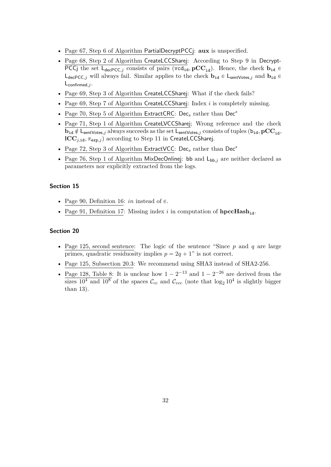- Page 67, Step 6 of Algorithm PartialDecryptPCCj: **aux** is unspecified.
- Page 68, Step 2 of Algorithm CreateLCCSharej: According to Step 9 in Decrypt-PCCj the set  $L_{dec}$ <sub>PCC</sub>, consists of pairs (vcd<sub>id</sub>, pCC<sub>id</sub>). Hence, the check  $\mathbf{b}_{id}$   $\in$  $L_{decPCC,j}$  will always fail. Similar applies to the check  $\mathbf{b}_{id} \in L_{sentVotes,j}$  and  $\mathbf{b}_{id} \in L_{cont}$ Lconfirmed*,j* .
- Page 69, Step 3 of Algorithm CreateLCCSharej: What if the check fails?
- Page 69, Step 7 of Algorithm CreateLCCSharej: Index *i* is completely missing.
- Page 70, Step 5 of Algorithm ExtractCRC: Dec*<sup>s</sup>* rather than Dec*<sup>s</sup>*
- Page 71, Step 1 of Algorithm CreateLVCCSharej; Wrong reference and the check  $\mathbf{b}_{id} \notin \mathsf{L}_{sentVotes, j}$  always succeeds as the set  $\mathsf{L}_{sentVotes, j}$  consists of tuples  $(\mathbf{b}_{id}, \mathbf{pCC}_{id},$  $\text{ICC}_{i.i.d.}$ ,  $\pi_{\text{exp},i}$ ) according to Step 11 in CreateLCCSharej.
- Page 72, Step 3 of Algorithm ExtractVCC: Dec*<sup>s</sup>* rather than Dec*<sup>s</sup>*
- Page 76, Step 1 of Algorithm MixDecOnlinej: bb and  $L_{bb,j}$  are neither declared as parameters nor explicitly extracted from the logs.

#### **Section 15**

- Page 90, Definition 16: *in* instead of  $\in$ .
- Page 91, Definition 17: Missing index *i* in computation of **hpccHash**<sub>id</sub>.

- Page 125, second sentence: The logic of the sentence "Since *p* and *q* are large primes, quadratic residuosity implies  $p = 2q + 1$ " is not correct.
- Page 125, Subsection 20.3: We recommend using SHA3 instead of SHA2-256.
- Page 128, Table 8: It is unclear how  $1 2^{-13}$  and  $1 2^{-26}$  are derived from the sizes  $10^4$  and  $10^8$  of the spaces  $\mathcal{C}_{cc}$  and  $\mathcal{C}_{vcc}$  (note that  $\log_2 10^4$  is slightly bigger than 13).